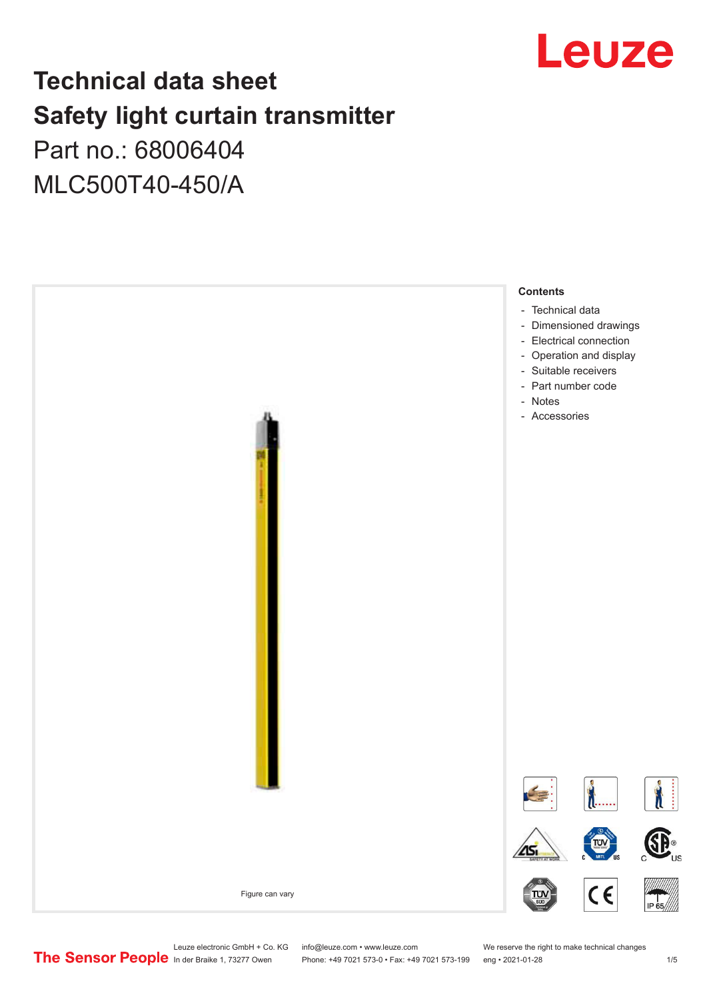

# **Technical data sheet Safety light curtain transmitter** Part no.: 68006404

MLC500T40-450/A



Leuze electronic GmbH + Co. KG info@leuze.com • www.leuze.com We reserve the right to make technical changes<br>
The Sensor People in der Braike 1, 73277 Owen Phone: +49 7021 573-0 • Fax: +49 7021 573-199 eng • 2021-01-28

Phone: +49 7021 573-0 • Fax: +49 7021 573-199 eng • 2021-01-28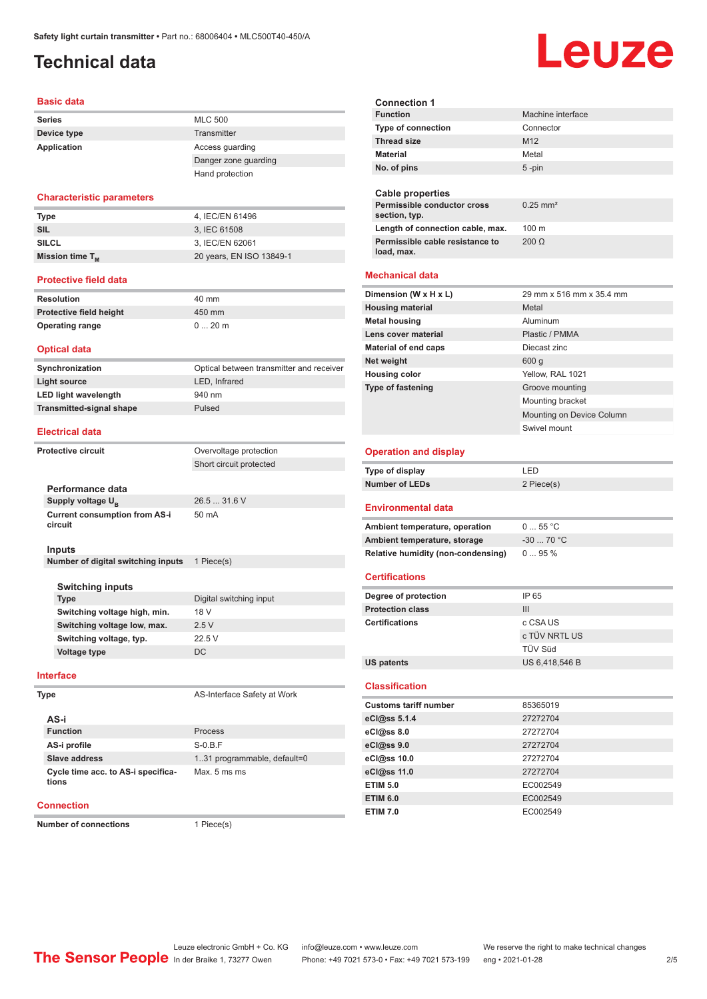# <span id="page-1-0"></span>**Technical data**

#### **Basic data**

| <b>Series</b> | <b>MLC 500</b>       |
|---------------|----------------------|
| Device type   | Transmitter          |
| Application   | Access quarding      |
|               | Danger zone guarding |
|               | Hand protection      |

#### **Characteristic parameters**

| <b>Type</b>          | 4. IEC/EN 61496          |
|----------------------|--------------------------|
| SIL                  | 3. IEC 61508             |
| <b>SILCL</b>         | 3. IEC/EN 62061          |
| Mission time $T_{M}$ | 20 years, EN ISO 13849-1 |

#### **Protective field data**

| Resolution              | 40 mm   |
|-------------------------|---------|
| Protective field height | 450 mm  |
| <b>Operating range</b>  | $020$ m |

#### **Optical data**

| Synchronization                 | Optical between transmitter and receiver |
|---------------------------------|------------------------------------------|
| Light source                    | LED. Infrared                            |
| <b>LED light wavelength</b>     | 940 nm                                   |
| <b>Transmitted-signal shape</b> | Pulsed                                   |

#### **Electrical data**

| <b>Protective circuit</b>                       | Overvoltage protection  |
|-------------------------------------------------|-------------------------|
|                                                 | Short circuit protected |
|                                                 |                         |
| Performance data                                |                         |
| Supply voltage U <sub>p</sub>                   | 26.531.6V               |
| <b>Current consumption from AS-i</b><br>circuit | 50 mA                   |
| Inputs                                          |                         |
| Number of digital switching inputs              | 1 Piece(s)              |
| <b>Switching inputs</b>                         |                         |

| <b>Type</b>                  | Digital switching input |
|------------------------------|-------------------------|
| Switching voltage high, min. | 18 V                    |
| Switching voltage low, max.  | 2.5V                    |
| Switching voltage, typ.      | 22.5V                   |
| Voltage type                 | DC.                     |

#### **Interface**

| ×<br>$\sim$<br>and the |
|------------------------|
|------------------------|

#### **AS-i Function** Process **AS-i profile** S-0.B.F **Slave address** 1..31 programmable, default=0 **Cycle time acc. to AS-i specifications** Max. 5 ms ms

#### **Connection**

**Number of connections** 1 Piece(s)

**AS-Interface Safety at Work** 

**Connection 1 Machine interface Type of connection Thread size** M12 **Material** Metal **No. of pins** 5 -pin **Cable properties Permissible conductor cross section, typ.** 0.25 mm² Length of connection cable, max. 100 m **Permissible cable resistance to load, max.** 200 Ω **Mechanical data Dimension (W x H x L)** 29 mm x 516 mm x 35.4 mm **Housing material Metal Metal Metal housing Aluminum Lens cover material Plastic / PMMA Material of end caps** Diecast zinc **Net weight** 600 g **Housing color** Yellow, RAL 1021 **Type of fastening** Groove mounting Mounting bracket Mounting on Device Column Swivel mount **Operation and display Type of display** LED **Number of LEDs** 2 Piece(s) **Environmental data** Ambient temperature, operation 0 ... 55 °C **Ambient temperature, storage** -30 ... 70 °C **Relative humidity (non-condensing)** 0 ... 95 % **Certifications Degree of protection** IP 65 **Protection class III Certifications** c CSA US c TÜV NRTL US TÜV Süd **US patents** US 6,418,546 B **Classification Customs tariff number** 85365019 **eCl@ss 5.1.4** 27272704 **eCl@ss 8.0** 27272704 **eCl@ss 9.0** 27272704 **eCl@ss 10.0** 27272704 **eCl@ss 11.0** 27272704 **ETIM 5.0** EC002549 **ETIM 6.0** EC002549 **ETIM 7.0** EC002549

# Leuze

Leuze electronic GmbH + Co. KG info@leuze.com • www.leuze.com We reserve the right to make technical changes<br>
The Sensor People in der Braike 1, 73277 Owen Phone: +49 7021 573-0 • Fax: +49 7021 573-199 eng • 2021-01-28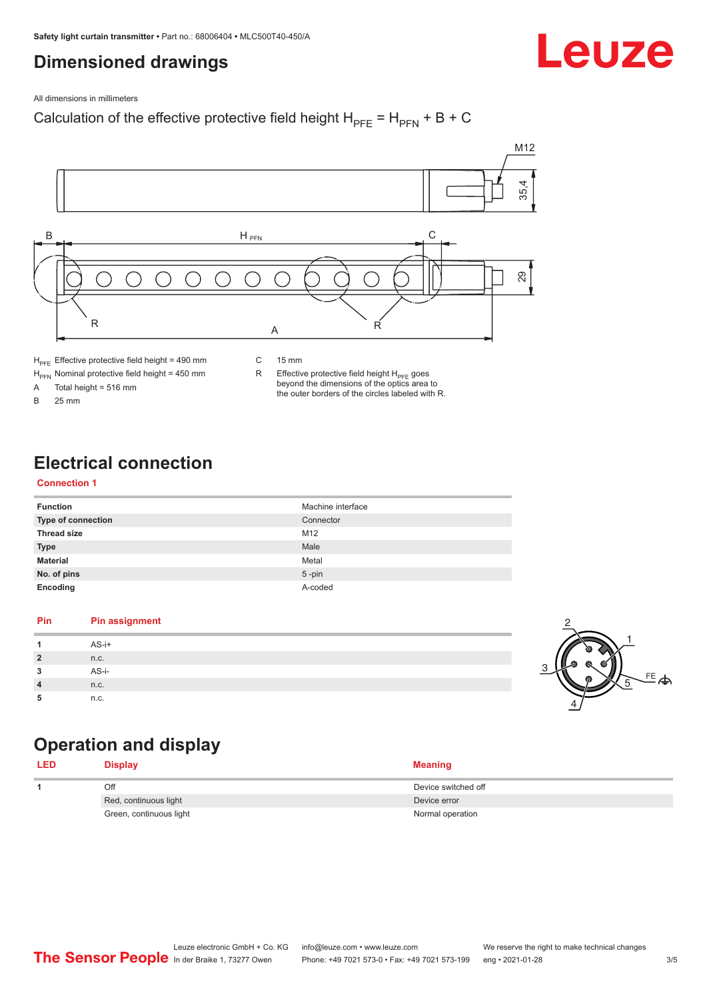# <span id="page-2-0"></span>**Dimensioned drawings**

Leuze

All dimensions in millimeters

### Calculation of the effective protective field height  $H_{PFE} = H_{PFN} + B + C$



- $H_{\text{PFN}}$  Nominal protective field height = 450 mm<br>A Total height = 516 mm
- Total height =  $516$  mm
- B 25 mm
- 
- R Effective protective field height  $H_{PFE}$  goes beyond the dimensions of the optics area to the outer borders of the circles labeled with R.

# **Electrical connection**

#### **Connection 1**

| <b>Function</b>    | Machine interface |
|--------------------|-------------------|
| Type of connection | Connector         |
| <b>Thread size</b> | M12               |
| <b>Type</b>        | Male              |
| <b>Material</b>    | Metal             |
| No. of pins        | $5$ -pin          |
| Encoding           | A-coded           |

#### **Pin Pin assignment 1** AS-i+ **2** n.c. **3** AS-i-**4** n.c. **5** n.c.



# **Operation and display**

| <b>LED</b> | <b>Display</b>          | <b>Meaning</b>      |
|------------|-------------------------|---------------------|
|            | Off                     | Device switched off |
|            | Red, continuous light   | Device error        |
|            | Green, continuous light | Normal operation    |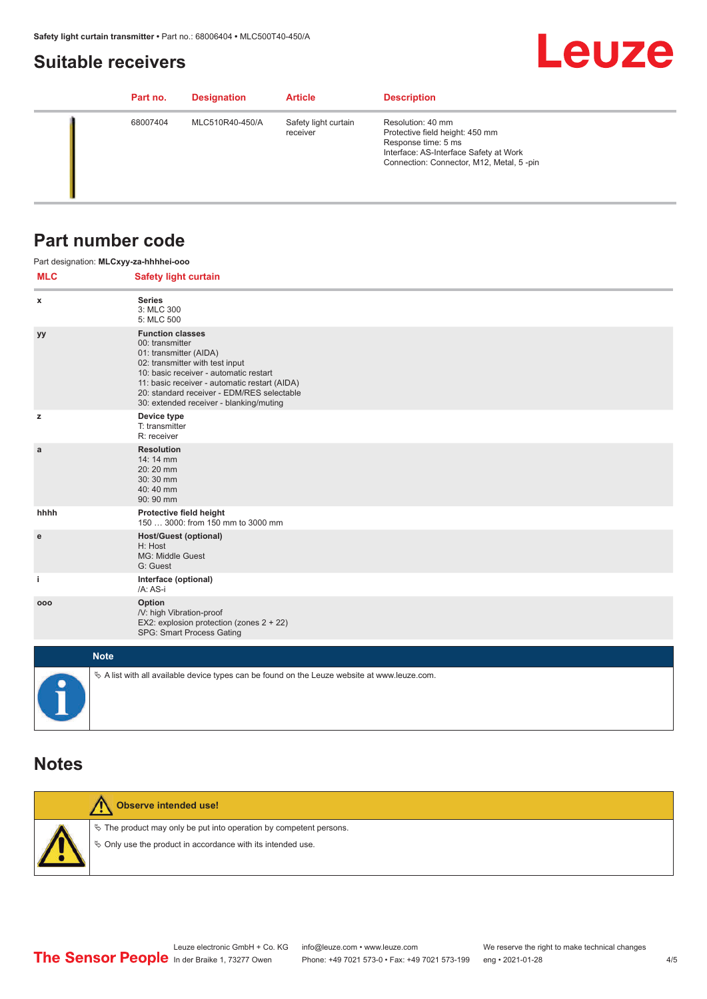# <span id="page-3-0"></span>**Suitable receivers**

# **Leuze**

| Part no. | <b>Designation</b> | <b>Article</b>                   | <b>Description</b>                                                                                                                                                |
|----------|--------------------|----------------------------------|-------------------------------------------------------------------------------------------------------------------------------------------------------------------|
| 68007404 | MLC510R40-450/A    | Safety light curtain<br>receiver | Resolution: 40 mm<br>Protective field height: 450 mm<br>Response time: 5 ms<br>Interface: AS-Interface Safety at Work<br>Connection: Connector, M12, Metal, 5-pin |

## **Part number code**

|            | Part designation: MLCxyy-za-hhhhei-ooo                                                                                                                                                                                                                                                      |
|------------|---------------------------------------------------------------------------------------------------------------------------------------------------------------------------------------------------------------------------------------------------------------------------------------------|
| <b>MLC</b> | <b>Safety light curtain</b>                                                                                                                                                                                                                                                                 |
| x          | <b>Series</b><br>3: MLC 300<br>5: MLC 500                                                                                                                                                                                                                                                   |
| yy         | <b>Function classes</b><br>00: transmitter<br>01: transmitter (AIDA)<br>02: transmitter with test input<br>10: basic receiver - automatic restart<br>11: basic receiver - automatic restart (AIDA)<br>20: standard receiver - EDM/RES selectable<br>30: extended receiver - blanking/muting |
| z          | Device type<br>T: transmitter<br>R: receiver                                                                                                                                                                                                                                                |
| a          | <b>Resolution</b><br>14: 14 mm<br>20:20 mm<br>30:30 mm<br>40:40 mm<br>90: 90 mm                                                                                                                                                                                                             |
| hhhh       | Protective field height<br>150  3000: from 150 mm to 3000 mm                                                                                                                                                                                                                                |
| ${\bf e}$  | <b>Host/Guest (optional)</b><br>H: Host<br>MG: Middle Guest<br>G: Guest                                                                                                                                                                                                                     |
| j.         | Interface (optional)<br>/A: AS-i                                                                                                                                                                                                                                                            |
| 000        | Option<br>/V: high Vibration-proof<br>EX2: explosion protection (zones 2 + 22)<br>SPG: Smart Process Gating                                                                                                                                                                                 |
|            | <b>Note</b>                                                                                                                                                                                                                                                                                 |
|            | $\&$ A list with all available device types can be found on the Leuze website at www.leuze.com.                                                                                                                                                                                             |

## **Notes**

| Observe intended use!                                                                                                                |
|--------------------------------------------------------------------------------------------------------------------------------------|
| $\&$ The product may only be put into operation by competent persons.<br>§ Only use the product in accordance with its intended use. |